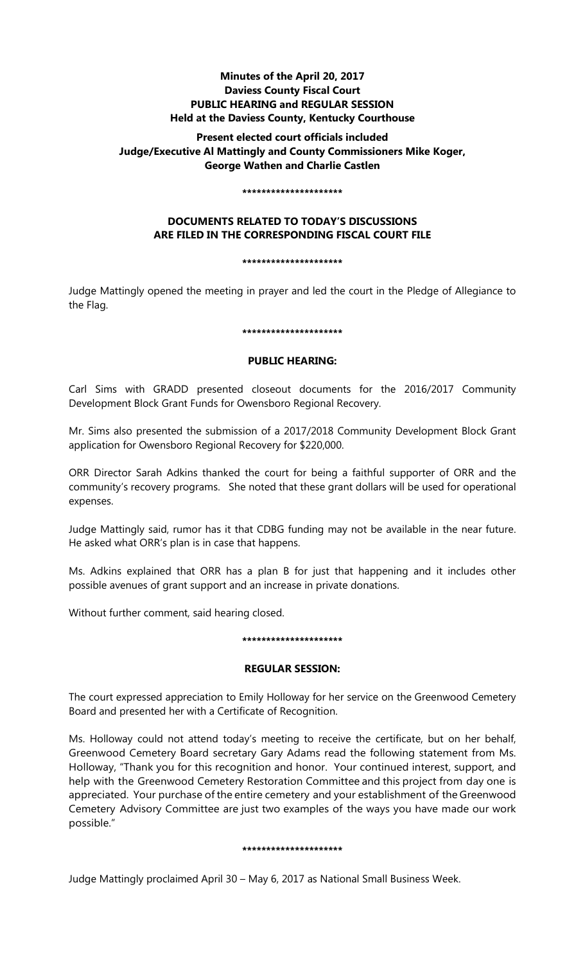# **Minutes of the April 20, 2017 Daviess County Fiscal Court PUBLIC HEARING and REGULAR SESSION Held at the Daviess County, Kentucky Courthouse**

# **Present elected court officials included Judge/Executive Al Mattingly and County Commissioners Mike Koger, George Wathen and Charlie Castlen**

### **\*\*\*\*\*\*\*\*\*\*\*\*\*\*\*\*\*\*\*\*\***

# **DOCUMENTS RELATED TO TODAY'S DISCUSSIONS ARE FILED IN THE CORRESPONDING FISCAL COURT FILE**

#### **\*\*\*\*\*\*\*\*\*\*\*\*\*\*\*\*\*\*\*\*\***

Judge Mattingly opened the meeting in prayer and led the court in the Pledge of Allegiance to the Flag.

## **\*\*\*\*\*\*\*\*\*\*\*\*\*\*\*\*\*\*\*\*\***

## **PUBLIC HEARING:**

Carl Sims with GRADD presented closeout documents for the 2016/2017 Community Development Block Grant Funds for Owensboro Regional Recovery.

Mr. Sims also presented the submission of a 2017/2018 Community Development Block Grant application for Owensboro Regional Recovery for \$220,000.

ORR Director Sarah Adkins thanked the court for being a faithful supporter of ORR and the community's recovery programs. She noted that these grant dollars will be used for operational expenses.

Judge Mattingly said, rumor has it that CDBG funding may not be available in the near future. He asked what ORR's plan is in case that happens.

Ms. Adkins explained that ORR has a plan B for just that happening and it includes other possible avenues of grant support and an increase in private donations.

Without further comment, said hearing closed.

## **\*\*\*\*\*\*\*\*\*\*\*\*\*\*\*\*\*\*\*\*\***

## **REGULAR SESSION:**

The court expressed appreciation to Emily Holloway for her service on the Greenwood Cemetery Board and presented her with a Certificate of Recognition.

Ms. Holloway could not attend today's meeting to receive the certificate, but on her behalf, Greenwood Cemetery Board secretary Gary Adams read the following statement from Ms. Holloway, "Thank you for this recognition and honor. Your continued interest, support, and help with the Greenwood Cemetery Restoration Committee and this project from day one is appreciated. Your purchase of the entire cemetery and your establishment of theGreenwood Cemetery Advisory Committee are just two examples of the ways you have made our work possible."

## **\*\*\*\*\*\*\*\*\*\*\*\*\*\*\*\*\*\*\*\*\***

Judge Mattingly proclaimed April 30 – May 6, 2017 as National Small Business Week.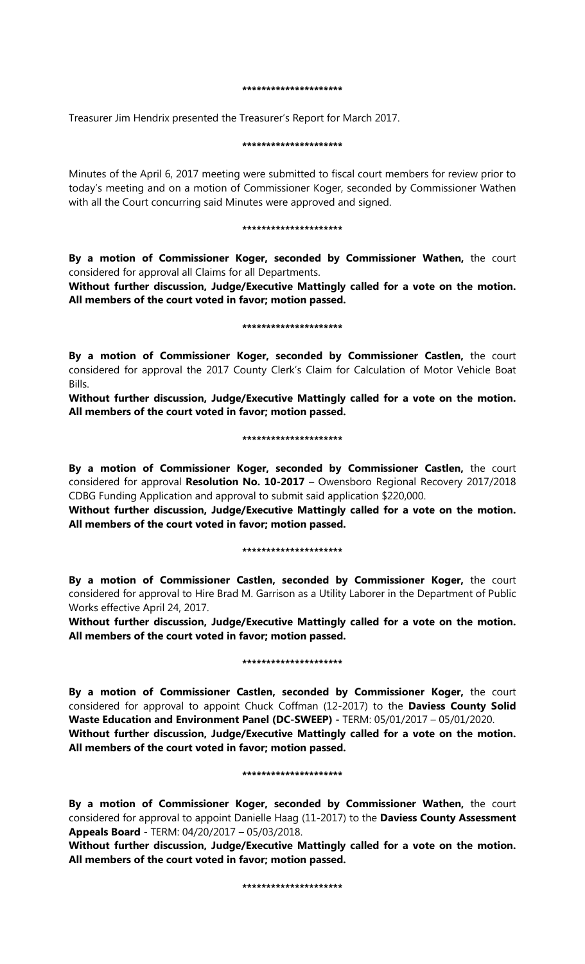#### **\*\*\*\*\*\*\*\*\*\*\*\*\*\*\*\*\*\*\*\*\***

Treasurer Jim Hendrix presented the Treasurer's Report for March 2017.

### **\*\*\*\*\*\*\*\*\*\*\*\*\*\*\*\*\*\*\*\*\***

Minutes of the April 6, 2017 meeting were submitted to fiscal court members for review prior to today's meeting and on a motion of Commissioner Koger, seconded by Commissioner Wathen with all the Court concurring said Minutes were approved and signed.

#### **\*\*\*\*\*\*\*\*\*\*\*\*\*\*\*\*\*\*\*\*\***

**By a motion of Commissioner Koger, seconded by Commissioner Wathen,** the court considered for approval all Claims for all Departments.

**Without further discussion, Judge/Executive Mattingly called for a vote on the motion. All members of the court voted in favor; motion passed.** 

#### **\*\*\*\*\*\*\*\*\*\*\*\*\*\*\*\*\*\*\*\*\***

**By a motion of Commissioner Koger, seconded by Commissioner Castlen,** the court considered for approval the 2017 County Clerk's Claim for Calculation of Motor Vehicle Boat Bills.

**Without further discussion, Judge/Executive Mattingly called for a vote on the motion. All members of the court voted in favor; motion passed.** 

## **\*\*\*\*\*\*\*\*\*\*\*\*\*\*\*\*\*\*\*\*\***

**By a motion of Commissioner Koger, seconded by Commissioner Castlen,** the court considered for approval **Resolution No. 10-2017** – Owensboro Regional Recovery 2017/2018 CDBG Funding Application and approval to submit said application \$220,000.

**Without further discussion, Judge/Executive Mattingly called for a vote on the motion. All members of the court voted in favor; motion passed.** 

## **\*\*\*\*\*\*\*\*\*\*\*\*\*\*\*\*\*\*\*\*\***

**By a motion of Commissioner Castlen, seconded by Commissioner Koger,** the court considered for approval to Hire Brad M. Garrison as a Utility Laborer in the Department of Public Works effective April 24, 2017.

**Without further discussion, Judge/Executive Mattingly called for a vote on the motion. All members of the court voted in favor; motion passed.** 

## **\*\*\*\*\*\*\*\*\*\*\*\*\*\*\*\*\*\*\*\*\***

**By a motion of Commissioner Castlen, seconded by Commissioner Koger,** the court considered for approval to appoint Chuck Coffman (12-2017) to the **Daviess County Solid Waste Education and Environment Panel (DC-SWEEP) -** TERM: 05/01/2017 – 05/01/2020. **Without further discussion, Judge/Executive Mattingly called for a vote on the motion. All members of the court voted in favor; motion passed.** 

## **\*\*\*\*\*\*\*\*\*\*\*\*\*\*\*\*\*\*\*\*\***

**By a motion of Commissioner Koger, seconded by Commissioner Wathen,** the court considered for approval to appoint Danielle Haag (11-2017) to the **Daviess County Assessment Appeals Board** - TERM: 04/20/2017 – 05/03/2018.

**Without further discussion, Judge/Executive Mattingly called for a vote on the motion. All members of the court voted in favor; motion passed.** 

#### **\*\*\*\*\*\*\*\*\*\*\*\*\*\*\*\*\*\*\*\*\***